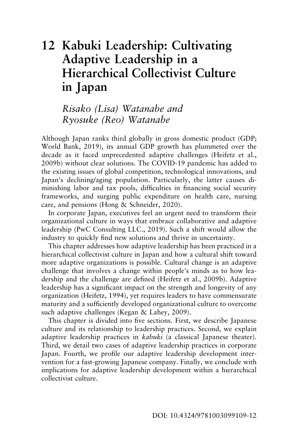# **12 Kabuki Leadership: Cultivating Adaptive Leadership in a Hierarchical Collectivist Culture in Japan**

# *Risako (Lisa) Watanabe and Ryosuke (Reo) Watanabe*

Although Japan ranks third globally in gross domestic product (GDP; World Bank, 2019), its annual GDP growth has plummeted over the decade as it faced unprecedented adaptive challenges (Heifetz et al., 2009b) without clear solutions. The COVID-19 pandemic has added to the existing issues of global competition, technological innovations, and Japan's declining/aging population. Particularly, the latter causes diminishing labor and tax pools, difficulties in financing social security frameworks, and surging public expenditure on health care, nursing care, and pensions (Hong & Schneider, 2020).

In corporate Japan, executives feel an urgent need to transform their organizational culture in ways that embrace collaborative and adaptive leadership (PwC Consulting LLC., 2019). Such a shift would allow the industry to quickly find new solutions and thrive in uncertainty.

This chapter addresses how adaptive leadership has been practiced in a hierarchical collectivist culture in Japan and how a cultural shift toward more adaptive organizations is possible. Cultural change is an adaptive challenge that involves a change within people's minds as to how leadership and the challenge are defined (Heifetz et al., 2009b). Adaptive leadership has a significant impact on the strength and longevity of any organization (Heifetz, 1994), yet requires leaders to have commensurate maturity and a sufficiently developed organizational culture to overcome such adaptive challenges (Kegan & Lahey, 2009).

This chapter is divided into five sections. First, we describe Japanese culture and its relationship to leadership practices. Second, we explain adaptive leadership practices in *kabuki* (a classical Japanese theater). Third, we detail two cases of adaptive leadership practices in corporate Japan. Fourth, we profile our adaptive leadership development intervention for a fast-growing Japanese company. Finally, we conclude with implications for adaptive leadership development within a hierarchical collectivist culture.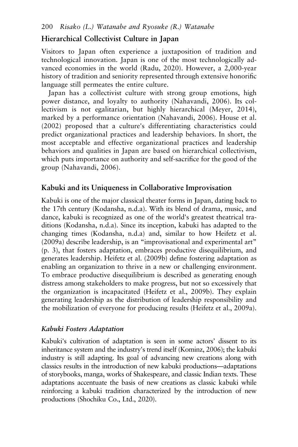## **Hierarchical Collectivist Culture in Japan**

Visitors to Japan often experience a juxtaposition of tradition and technological innovation. Japan is one of the most technologically advanced economies in the world (Radu, 2020). However, a 2,000-year history of tradition and seniority represented through extensive honorific language still permeates the entire culture.

Japan has a collectivist culture with strong group emotions, high power distance, and loyalty to authority (Nahavandi, 2006). Its collectivism is not egalitarian, but highly hierarchical (Meyer, 2014), marked by a performance orientation (Nahavandi, 2006). House et al. (2002) proposed that a culture's differentiating characteristics could predict organizational practices and leadership behaviors. In short, the most acceptable and effective organizational practices and leadership behaviors and qualities in Japan are based on hierarchical collectivism, which puts importance on authority and self-sacrifice for the good of the group (Nahavandi, 2006).

### **Kabuki and its Uniqueness in Collaborative Improvisation**

Kabuki is one of the major classical theater forms in Japan, dating back to the 17th century (Kodansha, n.d.a). With its blend of drama, music, and dance, kabuki is recognized as one of the world's greatest theatrical traditions (Kodansha, n.d.a). Since its inception, kabuki has adapted to the changing times (Kodansha, n.d.a) and, similar to how Heifetz et al. (2009a) describe leadership, is an "improvisational and experimental art" (p. 3), that fosters adaptation, embraces productive disequilibrium, and generates leadership. Heifetz et al. (2009b) define fostering adaptation as enabling an organization to thrive in a new or challenging environment. To embrace productive disequilibrium is described as generating enough distress among stakeholders to make progress, but not so excessively that the organization is incapacitated (Heifetz et al., 2009b). They explain generating leadership as the distribution of leadership responsibility and the mobilization of everyone for producing results (Heifetz et al., 2009a).

#### *Kabuki Fosters Adaptation*

Kabuki's cultivation of adaptation is seen in some actors' dissent to its inheritance system and the industry's trend itself (Kominz, 2006); the kabuki industry is still adapting. Its goal of advancing new creations along with classics results in the introduction of new kabuki productions—adaptations of storybooks, manga, works of Shakespeare, and classic Indian texts. These adaptations accentuate the basis of new creations as classic kabuki while reinforcing a kabuki tradition characterized by the introduction of new productions (Shochiku Co., Ltd., 2020).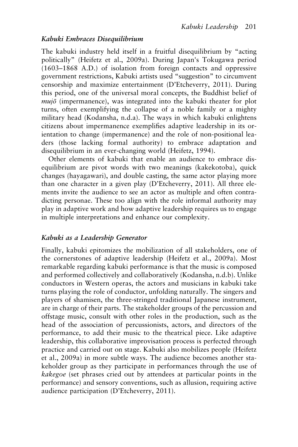#### *Kabuki Embraces Disequilibrium*

The kabuki industry held itself in a fruitful disequilibrium by "acting politically" (Heifetz et al., 2009a). During Japan's Tokugawa period (1603–1868 A.D.) of isolation from foreign contacts and oppressive government restrictions, Kabuki artists used "suggestion" to circumvent censorship and maximize entertainment (D'Etcheverry, 2011). During this period, one of the universal moral concepts, the Buddhist belief of *mujō* (impermanence), was integrated into the kabuki theater for plot turns, often exemplifying the collapse of a noble family or a mighty military head (Kodansha, n.d.a). The ways in which kabuki enlightens citizens about impermanence exemplifies adaptive leadership in its orientation to change (impermanence) and the role of non-positional leaders (those lacking formal authority) to embrace adaptation and disequilibrium in an ever-changing world (Heifetz, 1994).

Other elements of kabuki that enable an audience to embrace disequilibrium are pivot words with two meanings (kakekotoba), quick changes (hayagawari), and double casting, the same actor playing more than one character in a given play (D'Etcheverry, 2011). All three elements invite the audience to see an actor as multiple and often contradicting personae. These too align with the role informal authority may play in adaptive work and how adaptive leadership requires us to engage in multiple interpretations and enhance our complexity.

#### *Kabuki as a Leadership Generator*

Finally, kabuki epitomizes the mobilization of all stakeholders, one of the cornerstones of adaptive leadership (Heifetz et al., 2009a). Most remarkable regarding kabuki performance is that the music is composed and performed collectively and collaboratively (Kodansha, n.d.b). Unlike conductors in Western operas, the actors and musicians in kabuki take turns playing the role of conductor, unfolding naturally. The singers and players of shamisen, the three-stringed traditional Japanese instrument, are in charge of their parts. The stakeholder groups of the percussion and offstage music, consult with other roles in the production, such as the head of the association of percussionists, actors, and directors of the performance, to add their music to the theatrical piece. Like adaptive leadership, this collaborative improvisation process is perfected through practice and carried out on stage. Kabuki also mobilizes people (Heifetz et al., 2009a) in more subtle ways. The audience becomes another stakeholder group as they participate in performances through the use of *kakegoe* (set phrases cried out by attendees at particular points in the performance) and sensory conventions, such as allusion, requiring active audience participation (D'Etcheverry, 2011).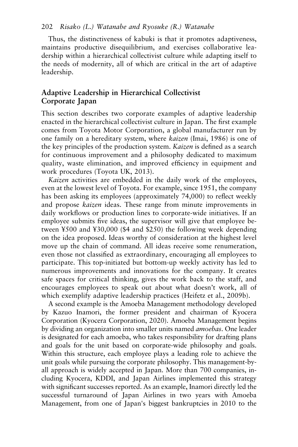Thus, the distinctiveness of kabuki is that it promotes adaptiveness, maintains productive disequilibrium, and exercises collaborative leadership within a hierarchical collectivist culture while adapting itself to the needs of modernity, all of which are critical in the art of adaptive leadership.

# **Adaptive Leadership in Hierarchical Collectivist Corporate Japan**

This section describes two corporate examples of adaptive leadership enacted in the hierarchical collectivist culture in Japan. The first example comes from Toyota Motor Corporation, a global manufacturer run by one family on a hereditary system, where *kaizen* (Imai, 1986) is one of the key principles of the production system. *Kaizen* is defined as a search for continuous improvement and a philosophy dedicated to maximum quality, waste elimination, and improved efficiency in equipment and work procedures (Toyota UK, 2013).

*Kaizen* activities are embedded in the daily work of the employees, even at the lowest level of Toyota. For example, since 1951, the company has been asking its employees (approximately 74,000) to reflect weekly and propose *kaizen* ideas. These range from minute improvements in daily workflows or production lines to corporate-wide initiatives. If an employee submits five ideas, the supervisor will give that employee between ¥500 and ¥30,000 (\$4 and \$250) the following week depending on the idea proposed. Ideas worthy of consideration at the highest level move up the chain of command. All ideas receive some renumeration, even those not classified as extraordinary, encouraging all employees to participate. This top-initiated but bottom-up weekly activity has led to numerous improvements and innovations for the company. It creates safe spaces for critical thinking, gives the work back to the staff, and encourages employees to speak out about what doesn't work, all of which exemplify adaptive leadership practices (Heifetz et al., 2009b).

A second example is the Amoeba Management methodology developed by Kazuo Inamori, the former president and chairman of Kyocera Corporation (Kyocera Corporation, 2020). Amoeba Management begins by dividing an organization into smaller units named *amoebas*. One leader is designated for each amoeba, who takes responsibility for drafting plans and goals for the unit based on corporate-wide philosophy and goals. Within this structure, each employee plays a leading role to achieve the unit goals while pursuing the corporate philosophy. This management-byall approach is widely accepted in Japan. More than 700 companies, including Kyocera, KDDI, and Japan Airlines implemented this strategy with significant successes reported. As an example, Inamori directly led the successful turnaround of Japan Airlines in two years with Amoeba Management, from one of Japan's biggest bankruptcies in 2010 to the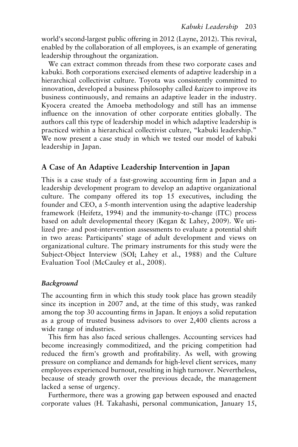world's second-largest public offering in 2012 (Layne, 2012). This revival, enabled by the collaboration of all employees, is an example of generating leadership throughout the organization.

We can extract common threads from these two corporate cases and kabuki. Both corporations exercised elements of adaptive leadership in a hierarchical collectivist culture. Toyota was consistently committed to innovation, developed a business philosophy called *kaizen* to improve its business continuously, and remains an adaptive leader in the industry. Kyocera created the Amoeba methodology and still has an immense influence on the innovation of other corporate entities globally. The authors call this type of leadership model in which adaptive leadership is practiced within a hierarchical collectivist culture, "kabuki leadership." We now present a case study in which we tested our model of kabuki leadership in Japan.

# **A Case of An Adaptive Leadership Intervention in Japan**

This is a case study of a fast-growing accounting firm in Japan and a leadership development program to develop an adaptive organizational culture. The company offered its top 15 executives, including the founder and CEO, a 5-month intervention using the adaptive leadership framework (Heifetz, 1994) and the immunity-to-change (ITC) process based on adult developmental theory (Kegan & Lahey, 2009). We utilized pre- and post-intervention assessments to evaluate a potential shift in two areas: Participants' stage of adult development and views on organizational culture. The primary instruments for this study were the Subject-Object Interview (SOI; Lahey et al., 1988) and the Culture Evaluation Tool (McCauley et al., 2008).

#### *Background*

The accounting firm in which this study took place has grown steadily since its inception in 2007 and, at the time of this study, was ranked among the top 30 accounting firms in Japan. It enjoys a solid reputation as a group of trusted business advisors to over 2,400 clients across a wide range of industries.

This firm has also faced serious challenges. Accounting services had become increasingly commoditized, and the pricing competition had reduced the firm's growth and profitability. As well, with growing pressure on compliance and demands for high-level client services, many employees experienced burnout, resulting in high turnover. Nevertheless, because of steady growth over the previous decade, the management lacked a sense of urgency.

Furthermore, there was a growing gap between espoused and enacted corporate values (H. Takahashi, personal communication, January 15,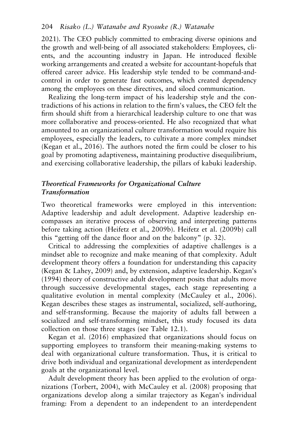2021). The CEO publicly committed to embracing diverse opinions and the growth and well-being of all associated stakeholders: Employees, clients, and the accounting industry in Japan. He introduced flexible working arrangements and created a website for accountant-hopefuls that offered career advice. His leadership style tended to be command-andcontrol in order to generate fast outcomes, which created dependency among the employees on these directives, and siloed communication.

Realizing the long-term impact of his leadership style and the contradictions of his actions in relation to the firm's values, the CEO felt the firm should shift from a hierarchical leadership culture to one that was more collaborative and process-oriented. He also recognized that what amounted to an organizational culture transformation would require his employees, especially the leaders, to cultivate a more complex mindset (Kegan et al., 2016). The authors noted the firm could be closer to his goal by promoting adaptiveness, maintaining productive disequilibrium, and exercising collaborative leadership, the pillars of kabuki leadership.

### *Theoretical Frameworks for Organizational Culture Transformation*

Two theoretical frameworks were employed in this intervention: Adaptive leadership and adult development. Adaptive leadership encompasses an iterative process of observing and interpreting patterns before taking action (Heifetz et al., 2009b). Heifetz et al. (2009b) call this "getting off the dance floor and on the balcony" (p. 32).

Critical to addressing the complexities of adaptive challenges is a mindset able to recognize and make meaning of that complexity. Adult development theory offers a foundation for understanding this capacity (Kegan & Lahey, 2009) and, by extension, adaptive leadership. Kegan's (1994) theory of constructive adult development posits that adults move through successive developmental stages, each stage representing a qualitative evolution in mental complexity (McCauley et al., 2006). Kegan describes these stages as instrumental, socialized, self-authoring, and self-transforming. Because the majority of adults fall between a socialized and self-transforming mindset, this study focused its data collection on those three stages (see Table 12.1).

Kegan et al. (2016) emphasized that organizations should focus on supporting employees to transform their meaning-making systems to deal with organizational culture transformation. Thus, it is critical to drive both individual and organizational development as interdependent goals at the organizational level.

Adult development theory has been applied to the evolution of organizations (Torbert, 2004), with McCauley et al. (2008) proposing that organizations develop along a similar trajectory as Kegan's individual framing: From a dependent to an independent to an interdependent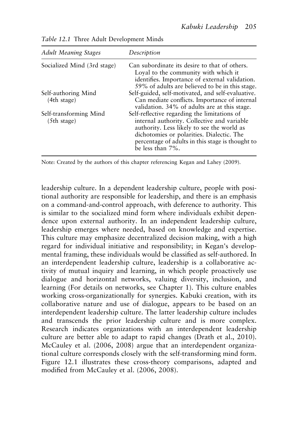| <b>Adult Meaning Stages</b>           | Description                                                                                                                                                                                                                                                    |
|---------------------------------------|----------------------------------------------------------------------------------------------------------------------------------------------------------------------------------------------------------------------------------------------------------------|
| Socialized Mind (3rd stage)           | Can subordinate its desire to that of others.<br>Loyal to the community with which it<br>identifies. Importance of external validation.<br>59% of adults are believed to be in this stage.                                                                     |
| Self-authoring Mind<br>(4th stage)    | Self-guided, self-motivated, and self-evaluative.<br>Can mediate conflicts. Importance of internal<br>validation. 34% of adults are at this stage.                                                                                                             |
| Self-transforming Mind<br>(5th stage) | Self-reflective regarding the limitations of<br>internal authority. Collective and variable<br>authority. Less likely to see the world as<br>dichotomies or polarities. Dialectic. The<br>percentage of adults in this stage is thought to<br>be less than 7%. |

*Table 12.1* Three Adult Development Minds

Note: Created by the authors of this chapter referencing Kegan and Lahey (2009).

leadership culture. In a dependent leadership culture, people with positional authority are responsible for leadership, and there is an emphasis on a command-and-control approach, with deference to authority. This is similar to the socialized mind form where individuals exhibit dependence upon external authority. In an independent leadership culture, leadership emerges where needed, based on knowledge and expertise. This culture may emphasize decentralized decision making, with a high regard for individual initiative and responsibility; in Kegan's developmental framing, these individuals would be classified as self-authored. In an interdependent leadership culture, leadership is a collaborative activity of mutual inquiry and learning, in which people proactively use dialogue and horizontal networks, valuing diversity, inclusion, and learning (For details on networks, see Chapter 1). This culture enables working cross-organizationally for synergies. Kabuki creation, with its collaborative nature and use of dialogue, appears to be based on an interdependent leadership culture. The latter leadership culture includes and transcends the prior leadership culture and is more complex. Research indicates organizations with an interdependent leadership culture are better able to adapt to rapid changes (Drath et al., 2010). McCauley et al. (2006, 2008) argue that an interdependent organizational culture corresponds closely with the self-transforming mind form. Figure 12.1 illustrates these cross-theory comparisons, adapted and modified from McCauley et al. (2006, 2008).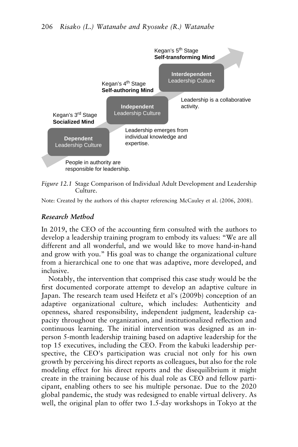

*Figure 12.1* Stage Comparison of Individual Adult Development and Leadership Culture.

Note: Created by the authors of this chapter referencing McCauley et al. (2006, 2008).

#### *Research Method*

In 2019, the CEO of the accounting firm consulted with the authors to develop a leadership training program to embody its values: "We are all different and all wonderful, and we would like to move hand-in-hand and grow with you." His goal was to change the organizational culture from a hierarchical one to one that was adaptive, more developed, and inclusive.

Notably, the intervention that comprised this case study would be the first documented corporate attempt to develop an adaptive culture in Japan. The research team used Heifetz et al's (2009b) conception of an adaptive organizational culture, which includes: Authenticity and openness, shared responsibility, independent judgment, leadership capacity throughout the organization, and institutionalized reflection and continuous learning. The initial intervention was designed as an inperson 5-month leadership training based on adaptive leadership for the top 15 executives, including the CEO. From the kabuki leadership perspective, the CEO's participation was crucial not only for his own growth by perceiving his direct reports as colleagues, but also for the role modeling effect for his direct reports and the disequilibrium it might create in the training because of his dual role as CEO and fellow participant, enabling others to see his multiple personae. Due to the 2020 global pandemic, the study was redesigned to enable virtual delivery. As well, the original plan to offer two 1.5-day workshops in Tokyo at the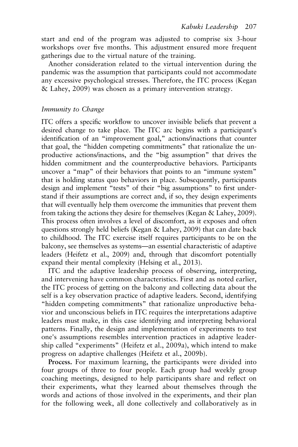start and end of the program was adjusted to comprise six 3-hour workshops over five months. This adjustment ensured more frequent gatherings due to the virtual nature of the training.

Another consideration related to the virtual intervention during the pandemic was the assumption that participants could not accommodate any excessive psychological stresses. Therefore, the ITC process (Kegan & Lahey, 2009) was chosen as a primary intervention strategy.

#### *Immunity to Change*

ITC offers a specific workflow to uncover invisible beliefs that prevent a desired change to take place. The ITC arc begins with a participant's identification of an "improvement goal," actions/inactions that counter that goal, the "hidden competing commitments" that rationalize the unproductive actions/inactions, and the "big assumption" that drives the hidden commitment and the counterproductive behaviors. Participants uncover a "map" of their behaviors that points to an "immune system" that is holding status quo behaviors in place. Subsequently, participants design and implement "tests" of their "big assumptions" to first understand if their assumptions are correct and, if so, they design experiments that will eventually help them overcome the immunities that prevent them from taking the actions they desire for themselves (Kegan & Lahey, 2009). This process often involves a level of discomfort, as it exposes and often questions strongly held beliefs (Kegan & Lahey, 2009) that can date back to childhood. The ITC exercise itself requires participants to be on the balcony, see themselves as systems—an essential characteristic of adaptive leaders (Heifetz et al., 2009) and, through that discomfort potentially expand their mental complexity (Helsing et al., 2013).

ITC and the adaptive leadership process of observing, interpreting, and intervening have common characteristics. First and as noted earlier, the ITC process of getting on the balcony and collecting data about the self is a key observation practice of adaptive leaders. Second, identifying "hidden competing commitments" that rationalize unproductive behavior and unconscious beliefs in ITC requires the interpretations adaptive leaders must make, in this case identifying and interpreting behavioral patterns. Finally, the design and implementation of experiments to test one's assumptions resembles intervention practices in adaptive leadership called "experiments" (Heifetz et al., 2009a), which intend to make progress on adaptive challenges (Heifetz et al., 2009b).

**Process.** For maximum learning, the participants were divided into four groups of three to four people. Each group had weekly group coaching meetings, designed to help participants share and reflect on their experiments, what they learned about themselves through the words and actions of those involved in the experiments, and their plan for the following week, all done collectively and collaboratively as in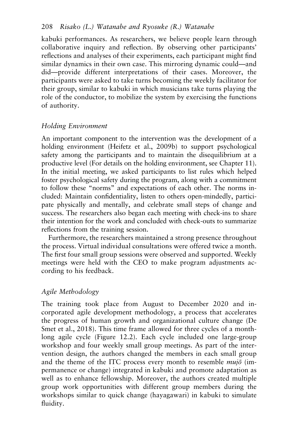kabuki performances. As researchers, we believe people learn through collaborative inquiry and reflection. By observing other participants' reflections and analyses of their experiments, each participant might find similar dynamics in their own case. This mirroring dynamic could—and did—provide different interpretations of their cases. Moreover, the participants were asked to take turns becoming the weekly facilitator for their group, similar to kabuki in which musicians take turns playing the role of the conductor, to mobilize the system by exercising the functions of authority.

#### *Holding Environment*

An important component to the intervention was the development of a holding environment (Heifetz et al., 2009b) to support psychological safety among the participants and to maintain the disequilibrium at a productive level (For details on the holding environment, see Chapter 11). In the initial meeting, we asked participants to list rules which helped foster psychological safety during the program, along with a commitment to follow these "norms" and expectations of each other. The norms included: Maintain confidentiality, listen to others open-mindedly, participate physically and mentally, and celebrate small steps of change and success. The researchers also began each meeting with check-ins to share their intention for the work and concluded with check-outs to summarize reflections from the training session.

Furthermore, the researchers maintained a strong presence throughout the process. Virtual individual consultations were offered twice a month. The first four small group sessions were observed and supported. Weekly meetings were held with the CEO to make program adjustments according to his feedback.

#### *Agile Methodology*

The training took place from August to December 2020 and incorporated agile development methodology, a process that accelerates the progress of human growth and organizational culture change (De Smet et al., 2018). This time frame allowed for three cycles of a monthlong agile cycle (Figure 12.2). Each cycle included one large-group workshop and four weekly small group meetings. As part of the intervention design, the authors changed the members in each small group and the theme of the ITC process every month to resemble *mujō* (impermanence or change) integrated in kabuki and promote adaptation as well as to enhance fellowship. Moreover, the authors created multiple group work opportunities with different group members during the workshops similar to quick change (hayagawari) in kabuki to simulate fluidity.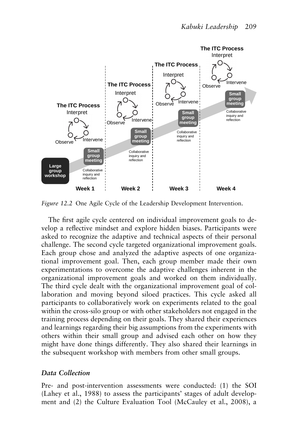

*Figure 12.2* One Agile Cycle of the Leadership Development Intervention.

The first agile cycle centered on individual improvement goals to develop a reflective mindset and explore hidden biases. Participants were asked to recognize the adaptive and technical aspects of their personal challenge. The second cycle targeted organizational improvement goals. Each group chose and analyzed the adaptive aspects of one organizational improvement goal. Then, each group member made their own experimentations to overcome the adaptive challenges inherent in the organizational improvement goals and worked on them individually. The third cycle dealt with the organizational improvement goal of collaboration and moving beyond siloed practices. This cycle asked all participants to collaboratively work on experiments related to the goal within the cross-silo group or with other stakeholders not engaged in the training process depending on their goals. They shared their experiences and learnings regarding their big assumptions from the experiments with others within their small group and advised each other on how they might have done things differently. They also shared their learnings in the subsequent workshop with members from other small groups. ment and the Culture Evaluation of the Culture Evaluation The Solution The Solution The Solution Culture Evaluation Culture Evaluation Tool (McCauley et al., 1998), a Data Collection The Solution Theorem and a smalle of th

#### *Data Collection*

Pre- and post-intervention assessments were conducted: (1) the SOI (Lahey et al., 1988) to assess the participants' stages of adult develop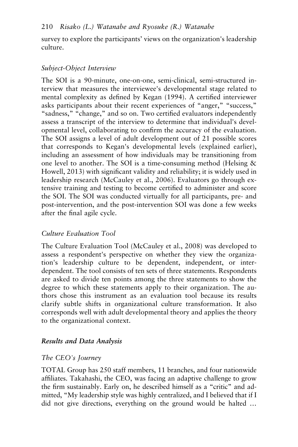survey to explore the participants' views on the organization's leadership culture.

### *Subject-Object Interview*

The SOI is a 90-minute, one-on-one, semi-clinical, semi-structured interview that measures the interviewee's developmental stage related to mental complexity as defined by Kegan (1994). A certified interviewer asks participants about their recent experiences of "anger," "success," "sadness," "change," and so on. Two certified evaluators independently assess a transcript of the interview to determine that individual's developmental level, collaborating to confirm the accuracy of the evaluation. The SOI assigns a level of adult development out of 21 possible scores that corresponds to Kegan's developmental levels (explained earlier), including an assessment of how individuals may be transitioning from one level to another. The SOI is a time-consuming method (Helsing & Howell, 2013) with significant validity and reliability; it is widely used in leadership research (McCauley et al., 2006). Evaluators go through extensive training and testing to become certified to administer and score the SOI. The SOI was conducted virtually for all participants, pre- and post-intervention, and the post-intervention SOI was done a few weeks after the final agile cycle.

# *Culture Evaluation Tool*

The Culture Evaluation Tool (McCauley et al., 2008) was developed to assess a respondent's perspective on whether they view the organization's leadership culture to be dependent, independent, or interdependent. The tool consists of ten sets of three statements. Respondents are asked to divide ten points among the three statements to show the degree to which these statements apply to their organization. The authors chose this instrument as an evaluation tool because its results clarify subtle shifts in organizational culture transformation. It also corresponds well with adult developmental theory and applies the theory to the organizational context.

#### *Results and Data Analysis*

#### *The CEO's Journey*

TOTAL Group has 250 staff members, 11 branches, and four nationwide affiliates. Takahashi, the CEO, was facing an adaptive challenge to grow the firm sustainably. Early on, he described himself as a "critic" and admitted, "My leadership style was highly centralized, and I believed that if I did not give directions, everything on the ground would be halted …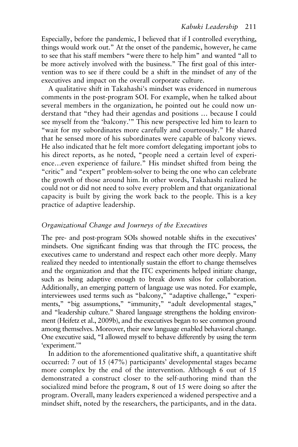Especially, before the pandemic, I believed that if I controlled everything, things would work out." At the onset of the pandemic, however, he came to see that his staff members "were there to help him" and wanted "all to be more actively involved with the business." The first goal of this intervention was to see if there could be a shift in the mindset of any of the executives and impact on the overall corporate culture.

A qualitative shift in Takahashi's mindset was evidenced in numerous comments in the post-program SOI. For example, when he talked about several members in the organization, he pointed out he could now understand that "they had their agendas and positions … because I could see myself from the 'balcony.'" This new perspective led him to learn to "wait for my subordinates more carefully and courteously." He shared that he sensed more of his subordinates were capable of balcony views. He also indicated that he felt more comfort delegating important jobs to his direct reports, as he noted, "people need a certain level of experience…even experience of failure." His mindset shifted from being the "critic" and "expert" problem-solver to being the one who can celebrate the growth of those around him. In other words, Takahashi realized he could not or did not need to solve every problem and that organizational capacity is built by giving the work back to the people. This is a key practice of adaptive leadership.

#### *Organizational Change and Journeys of the Executives*

The pre- and post-program SOIs showed notable shifts in the executives' mindsets. One significant finding was that through the ITC process, the executives came to understand and respect each other more deeply. Many realized they needed to intentionally sustain the effort to change themselves and the organization and that the ITC experiments helped initiate change, such as being adaptive enough to break down silos for collaboration. Additionally, an emerging pattern of language use was noted. For example, interviewees used terms such as "balcony," "adaptive challenge," "experiments," "big assumptions," "immunity," "adult developmental stages," and "leadership culture." Shared language strengthens the holding environment (Heifetz et al., 2009b), and the executives began to see common ground among themselves. Moreover, their new language enabled behavioral change. One executive said, "I allowed myself to behave differently by using the term 'experiment.'"

In addition to the aforementioned qualitative shift, a quantitative shift occurred: 7 out of 15 (47%) participants' developmental stages became more complex by the end of the intervention. Although 6 out of 15 demonstrated a construct closer to the self-authoring mind than the socialized mind before the program, 8 out of 15 were doing so after the program. Overall, many leaders experienced a widened perspective and a mindset shift, noted by the researchers, the participants, and in the data.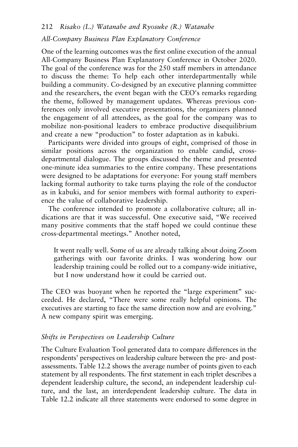#### *All-Company Business Plan Explanatory Conference*

One of the learning outcomes was the first online execution of the annual All-Company Business Plan Explanatory Conference in October 2020. The goal of the conference was for the 250 staff members in attendance to discuss the theme: To help each other interdepartmentally while building a community. Co-designed by an executive planning committee and the researchers, the event began with the CEO's remarks regarding the theme, followed by management updates. Whereas previous conferences only involved executive presentations, the organizers planned the engagement of all attendees, as the goal for the company was to mobilize non-positional leaders to embrace productive disequilibrium and create a new "production" to foster adaptation as in kabuki.

Participants were divided into groups of eight, comprised of those in similar positions across the organization to enable candid, crossdepartmental dialogue. The groups discussed the theme and presented one-minute idea summaries to the entire company. These presentations were designed to be adaptations for everyone: For young staff members lacking formal authority to take turns playing the role of the conductor as in kabuki, and for senior members with formal authority to experience the value of collaborative leadership.

The conference intended to promote a collaborative culture; all indications are that it was successful. One executive said, "We received many positive comments that the staff hoped we could continue these cross-departmental meetings." Another noted,

It went really well. Some of us are already talking about doing Zoom gatherings with our favorite drinks. I was wondering how our leadership training could be rolled out to a company-wide initiative, but I now understand how it could be carried out.

The CEO was buoyant when he reported the "large experiment" succeeded. He declared, "There were some really helpful opinions. The executives are starting to face the same direction now and are evolving." A new company spirit was emerging.

#### *Shifts in Perspectives on Leadership Culture*

The Culture Evaluation Tool generated data to compare differences in the respondents' perspectives on leadership culture between the pre- and postassessments. Table 12.2 shows the average number of points given to each statement by all respondents. The first statement in each triplet describes a dependent leadership culture, the second, an independent leadership culture, and the last, an interdependent leadership culture. The data in Table 12.2 indicate all three statements were endorsed to some degree in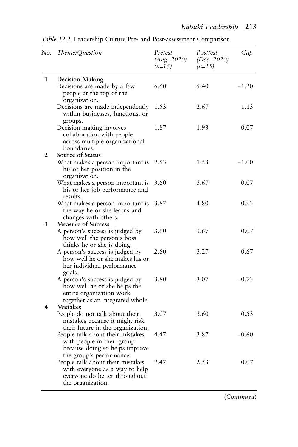| No.            | Theme/Question                                                                                                                           | Pretest<br>(Aug. 2020)<br>$(n=15)$ | Posttest<br>(Dec. 2020)<br>$(n=15)$ | Gap     |
|----------------|------------------------------------------------------------------------------------------------------------------------------------------|------------------------------------|-------------------------------------|---------|
| $\mathbf{1}$   | <b>Decision Making</b>                                                                                                                   |                                    |                                     |         |
|                | Decisions are made by a few<br>people at the top of the<br>organization.                                                                 | 6.60                               | 5.40                                | $-1.20$ |
|                | Decisions are made independently<br>within businesses, functions, or<br>groups.                                                          | 1.53                               | 2.67                                | 1.13    |
|                | Decision making involves<br>collaboration with people<br>across multiple organizational<br>boundaries.                                   | 1.87                               | 1.93                                | 0.07    |
| $\overline{2}$ | Source of Status                                                                                                                         |                                    |                                     |         |
|                | What makes a person important is<br>his or her position in the<br>organization.                                                          | 2.53                               | 1.53                                | $-1.00$ |
|                | What makes a person important is<br>his or her job performance and                                                                       | 3.60                               | 3.67                                | 0.07    |
|                | results.<br>What makes a person important is<br>the way he or she learns and<br>changes with others.                                     | 3.87                               | 4.80                                | 0.93    |
| 3              | <b>Measure of Success</b><br>A person's success is judged by<br>how well the person's boss                                               | 3.60                               | 3.67                                | 0.07    |
|                | thinks he or she is doing.<br>A person's success is judged by<br>how well he or she makes his or<br>her individual performance<br>goals. | 2.60                               | 3.27                                | 0.67    |
|                | A person's success is judged by<br>how well he or she helps the<br>entire organization work<br>together as an integrated whole.          | 3.80                               | 3.07                                | $-0.73$ |
| 4              | <b>Mistakes</b>                                                                                                                          |                                    |                                     |         |
|                | People do not talk about their<br>mistakes because it might risk<br>their future in the organization.                                    | 3.07                               | 3.60                                | 0.53    |
|                | People talk about their mistakes<br>with people in their group<br>because doing so helps improve<br>the group's performance.             | 4.47                               | 3.87                                | $-0.60$ |
|                | People talk about their mistakes<br>with everyone as a way to help<br>everyone do better throughout<br>the organization.                 | 2.47                               | 2.53                                | 0.07    |

*Table 12.2* Leadership Culture Pre- and Post-assessment Comparison

(*Continued*)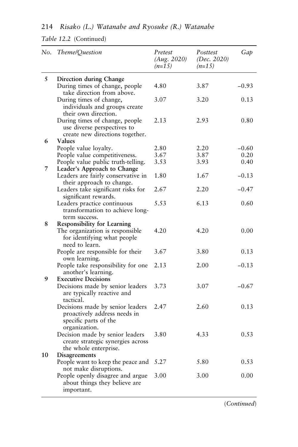| 214 Risako (L.) Watanabe and Ryosuke (R.) Watanabe |  |  |  |  |  |  |
|----------------------------------------------------|--|--|--|--|--|--|
|----------------------------------------------------|--|--|--|--|--|--|

*Table 12.2* (Continued)

| No. | Theme/Question                                                                                             | Pretest<br>(Aug. 2020)<br>$(n=15)$ | Posttest<br>(Dec. 2020)<br>$(n=15)$ | Gap     |
|-----|------------------------------------------------------------------------------------------------------------|------------------------------------|-------------------------------------|---------|
| 5   | Direction during Change                                                                                    |                                    |                                     |         |
|     | During times of change, people<br>take direction from above.                                               | 4.80                               | 3.87                                | $-0.93$ |
|     | During times of change,<br>individuals and groups create<br>their own direction.                           | 3.07                               | 3.20                                | 0.13    |
|     | During times of change, people<br>use diverse perspectives to<br>create new directions together.           | 2.13                               | 2.93                                | 0.80    |
| 6   | <b>Values</b>                                                                                              |                                    |                                     |         |
|     | People value lovalty.                                                                                      | 2.80                               | 2.20                                | $-0.60$ |
|     | People value competitiveness.                                                                              | 3.67                               | 3.87                                | 0.20    |
| 7   | People value public truth-telling.<br>Leader's Approach to Change                                          | 3.53                               | 3.93                                | 0.40    |
|     | Leaders are fairly conservative in<br>their approach to change.                                            | 1.80                               | 1.67                                | $-0.13$ |
|     | Leaders take significant risks for<br>significant rewards.                                                 | 2.67                               | 2.20                                | $-0.47$ |
|     | Leaders practice continuous<br>transformation to achieve long-<br>term success.                            | 5.53                               | 6.13                                | 0.60    |
| 8   | <b>Responsibility for Learning</b>                                                                         |                                    |                                     |         |
|     | The organization is responsible<br>for identifying what people<br>need to learn.                           | 4.20                               | 4.20                                | 0.00    |
|     | People are responsible for their<br>own learning.                                                          | 3.67                               | 3.80                                | 0.13    |
| 9   | People take responsibility for one<br>another's learning.<br><b>Executive Decisions</b>                    | 2.13                               | 2.00                                | $-0.13$ |
|     | Decisions made by senior leaders<br>are typically reactive and<br>tactical.                                | 3.73                               | 3.07                                | $-0.67$ |
|     | Decisions made by senior leaders<br>proactively address needs in<br>specific parts of the<br>organization. | 2.47                               | 2.60                                | 0.13    |
|     | Decision made by senior leaders<br>create strategic synergies across<br>the whole enterprise.              | 3.80                               | 4.33                                | 0.53    |
| 10  | Disagreements                                                                                              |                                    |                                     |         |
|     | People want to keep the peace and<br>not make disruptions.                                                 | 5.27                               | 5.80                                | 0.53    |
|     | People openly disagree and argue<br>about things they believe are<br>important.                            | 3.00                               | 3.00                                | 0.00    |

(*Continued*)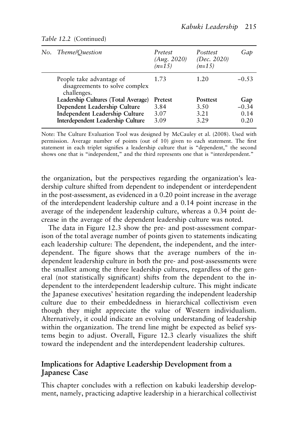| No. Theme/Question                                                        | Pretest<br>(Aug. 2020)<br>$(n=15)$ | Posttest<br>(Dec. $2020$ )<br>$(n=15)$ | Gap     |
|---------------------------------------------------------------------------|------------------------------------|----------------------------------------|---------|
| People take advantage of<br>disagreements to solve complex<br>challenges. | 1.73                               | 1.20                                   | $-0.53$ |
| Leadership Cultures (Total Average)                                       | Pretest                            | Posttest                               | Gap     |
| Dependent Leadership Culture                                              | 3.84                               | 3.50                                   | $-0.34$ |
| Independent Leadership Culture                                            | 3.07                               | 3.21                                   | 0.14    |
| Interdependent Leadership Culture                                         | 3.09                               | 3.29                                   | 0.20    |
|                                                                           |                                    |                                        |         |

#### *Table 12.2* (Continued)

Note: The Culture Evaluation Tool was designed by McCauley et al. (2008). Used with permission. Average number of points (out of 10) given to each statement. The first statement in each triplet signifies a leadership culture that is "dependent," the second shows one that is "independent," and the third represents one that is "interdependent."

the organization, but the perspectives regarding the organization's leadership culture shifted from dependent to independent or interdependent in the post-assessment, as evidenced in a 0.20 point increase in the average of the interdependent leadership culture and a 0.14 point increase in the average of the independent leadership culture, whereas a 0.34 point decrease in the average of the dependent leadership culture was noted.

The data in Figure 12.3 show the pre- and post-assessment comparison of the total average number of points given to statements indicating each leadership culture: The dependent, the independent, and the interdependent. The figure shows that the average numbers of the independent leadership culture in both the pre- and post-assessments were the smallest among the three leadership cultures, regardless of the general (not statistically significant) shifts from the dependent to the independent to the interdependent leadership culture. This might indicate the Japanese executives' hesitation regarding the independent leadership culture due to their embeddedness in hierarchical collectivism even though they might appreciate the value of Western individualism. Alternatively, it could indicate an evolving understanding of leadership within the organization. The trend line might be expected as belief systems begin to adjust. Overall, Figure 12.3 clearly visualizes the shift toward the independent and the interdependent leadership cultures.

# **Implications for Adaptive Leadership Development from a Japanese Case**

This chapter concludes with a reflection on kabuki leadership development, namely, practicing adaptive leadership in a hierarchical collectivist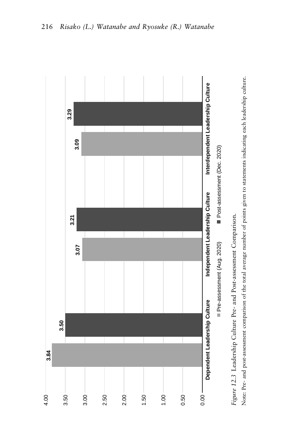

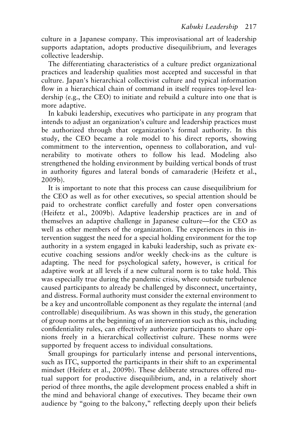culture in a Japanese company. This improvisational art of leadership supports adaptation, adopts productive disequilibrium, and leverages collective leadership.

The differentiating characteristics of a culture predict organizational practices and leadership qualities most accepted and successful in that culture. Japan's hierarchical collectivist culture and typical information flow in a hierarchical chain of command in itself requires top-level leadership (e.g., the CEO) to initiate and rebuild a culture into one that is more adaptive.

In kabuki leadership, executives who participate in any program that intends to adjust an organization's culture and leadership practices must be authorized through that organization's formal authority. In this study, the CEO became a role model to his direct reports, showing commitment to the intervention, openness to collaboration, and vulnerability to motivate others to follow his lead. Modeling also strengthened the holding environment by building vertical bonds of trust in authority figures and lateral bonds of camaraderie (Heifetz et al., 2009b).

It is important to note that this process can cause disequilibrium for the CEO as well as for other executives, so special attention should be paid to orchestrate conflict carefully and foster open conversations (Heifetz et al., 2009b). Adaptive leadership practices are in and of themselves an adaptive challenge in Japanese culture—for the CEO as well as other members of the organization. The experiences in this intervention suggest the need for a special holding environment for the top authority in a system engaged in kabuki leadership, such as private executive coaching sessions and/or weekly check-ins as the culture is adapting. The need for psychological safety, however, is critical for adaptive work at all levels if a new cultural norm is to take hold. This was especially true during the pandemic crisis, where outside turbulence caused participants to already be challenged by disconnect, uncertainty, and distress. Formal authority must consider the external environment to be a key and uncontrollable component as they regulate the internal (and controllable) disequilibrium. As was shown in this study, the generation of group norms at the beginning of an intervention such as this, including confidentiality rules, can effectively authorize participants to share opinions freely in a hierarchical collectivist culture. These norms were supported by frequent access to individual consultations.

Small groupings for particularly intense and personal interventions, such as ITC, supported the participants in their shift to an experimental mindset (Heifetz et al., 2009b). These deliberate structures offered mutual support for productive disequilibrium, and, in a relatively short period of three months, the agile development process enabled a shift in the mind and behavioral change of executives. They became their own audience by "going to the balcony," reflecting deeply upon their beliefs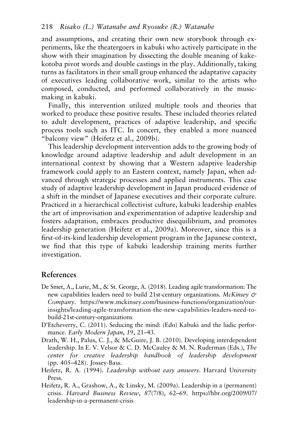and assumptions, and creating their own new storybook through experiments, like the theatergoers in kabuki who actively participate in the show with their imagination by dissecting the double meaning of kakekotoba pivot words and double castings in the play. Additionally, taking turns as facilitators in their small group enhanced the adaptative capacity of executives leading collaborative work, similar to the artists who composed, conducted, and performed collaboratively in the musicmaking in kabuki.

Finally, this intervention utilized multiple tools and theories that worked to produce these positive results. These included theories related to adult development, practices of adaptive leadership, and specific process tools such as ITC. In concert, they enabled a more nuanced "balcony view" (Heifetz et al., 2009b).

This leadership development intervention adds to the growing body of knowledge around adaptive leadership and adult development in an international context by showing that a Western adaptive leadership framework could apply to an Eastern context, namely Japan, when advanced through strategic processes and applied instruments. This case study of adaptive leadership development in Japan produced evidence of a shift in the mindset of Japanese executives and their corporate culture. Practiced in a hierarchical collectivist culture, kabuki leadership enables the art of improvisation and experimentation of adaptive leadership and fosters adaptation, embraces productive disequilibrium, and promotes leadership generation (Heifetz et al., 2009a). Moreover, since this is a first-of-its-kind leadership development program in the Japanese context, we find that this type of kabuki leadership training merits further investigation.

#### **References**

- De Smet, A., Lurie, M., & St. George, A. (2018). Leading agile transformation: The new capabilities leaders need to build 21st-century organizations. *McKinsey & Company*. [https://www.mckinsey.com/business-functions/organization/our](https://www.mckinsey.com)[insights/leading-agile-transformation-the-new-capabilities-leaders-need-to](https://www.mckinsey.com)[build-21st-century-organizations](https://www.mckinsey.com)
- D'Etcheverry, C. (2011). Seducing the mind: (Edo) Kabuki and the ludic performance. *Early Modern Japan*, *19*, 21–43.
- Drath, W. H., Palus, C. J., & McGuire, J. B. (2010). Developing interdependent leadership. In E. V. Velsor & C. D. McCauley & M. N. Ruderman (Eds.), *The center for creative leadership handbook of leadership development*  (pp. 405–428). Jossey-Bass.
- Heifetz, R. A. (1994). *Leadership without easy answers*. Harvard University Press.
- Heifetz, R. A., Grashow, A., & Linsky, M. (2009a). Leadership in a (permanent) crisis. *Harvard Business Review*, *87*(7/8), 62–69. [https://hbr.org/2009/07/](https://hbr.org)  [leadership-in-a-permanent-crisis](https://hbr.org)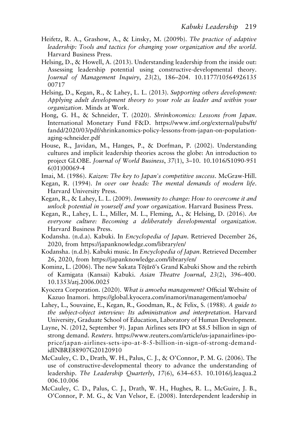- Heifetz, R. A., Grashow, A., & Linsky, M. (2009b). *The practice of adaptive leadership: Tools and tactics for changing your organization and the world*. Harvard Business Press.
- Helsing, D., & Howell, A. (2013). Understanding leadership from the inside out: Assessing leadership potential using constructive-developmental theory. *Journal of Management Inquiry*, *23*(2), 186–204. [10.1177/10564926135](http://dx.doi.org/10.1177/1056492613500717) [00717](http://dx.doi.org/10.1177/1056492613500717)
- Helsing, D., Kegan, R., & Lahey, L. L. (2013). *Supporting others development: Applying adult development theory to your role as leader and within your organization*. Minds at Work.
- Hong, G. H., & Schneider, T. (2020). *Shrinkonomics: Lessons from Japan*. International Monetary Fund F&D. [https://www.imf.org/external/pubs/ft/](https://www.imf.org) [fandd/2020/03/pdf/shrinkanomics-policy-lessons-from-japan-on-population](https://www.imf.org)[aging-schneider.pdf](https://www.imf.org)
- House, R., Javidan, M., Hanges, P., & Dorfman, P. (2002). Understanding cultures and implicit leadership theories across the globe: An introduction to project GLOBE. *Journal of World Business*, *37*(1), 3–10. [10.1016/S1090-951](http://dx.doi.org/10.1016/S1090-9516(01)00069-4) [6\(01\)00069-4](http://dx.doi.org/10.1016/S1090-9516(01)00069-4)
- Imai, M. (1986). *Kaizen: The key to Japan's competitive success*. McGraw-Hill.
- Kegan, R. (1994). *In over our heads: The mental demands of modern life*. Harvard University Press.
- Kegan, R., & Lahey, L. L. (2009). *Immunity to change: How to overcome it and unlock potential in yourself and your organization*. Harvard Business Press.
- Kegan, R., Lahey, L. L., Miller, M. L., Fleming, A., & Helsing, D. (2016). *An everyone culture: Becoming a deliberately developmental organization*. Harvard Business Press.
- Kodansha. (n.d.a). Kabuki. In *Encyclopedia of Japan*. Retrieved December 26, 2020, from [https://japanknowledge.com/library/en/](https://japanknowledge.com)
- Kodansha. (n.d.b). Kabuki music. In *Encyclopedia of Japan*. Retrieved December 26, 2020, from [https://japanknowledge.com/library/en/](https://japanknowledge.com)
- Kominz, L. (2006). The new Sakata Tōjūrō's Grand Kabuki Show and the rebirth of Kamigata (Kansai) Kabuki. *Asian Theatre Journal*, *23*(2), 396–400. [10.1353/atj.2006.0025](http://dx.doi.org/10.1353/atj.2006.0025)
- Kyocera Corporation. (2020). *What is amoeba management?* Official Website of Kazuo Inamori. [https://global.kyocera.com/inamori/management/amoeba/](https://global.kyocera.com)
- Lahey, L., Souvaine, E., Kegan, R., Goodman, R., & Felix, S. (1988). *A guide to the subject-object interview: Its administration and interpretation*. Harvard University, Graduate School of Education, Laboratory of Human Development.
- Layne, N. (2012, September 9). Japan Airlines sets IPO at \$8.5 billion in sign of strong demand. *Reuters*. [https://www.reuters.com/article/us-japanairlines-ipo](https://www.reuters.com)[price/japan-airlines-sets-ipo-at-8-5-billion-in-sign-of-strong-demand](https://www.reuters.com)[idINBRE88907G20120910](https://www.reuters.com)
- McCauley, C. D., Drath, W. H., Palus, C. J., & O'Connor, P. M. G. (2006). The use of constructive-developmental theory to advance the understanding of leadership. *The Leadership Quarterly*, *17*(6), 634–653. [10.1016/j.leaqua.2](http://dx.doi.org/10.1016/j.leaqua.2006.10.006)  [006.10.006](http://dx.doi.org/10.1016/j.leaqua.2006.10.006)
- McCauley, C. D., Palus, C. J., Drath, W. H., Hughes, R. L., McGuire, J. B., O'Connor, P. M. G., & Van Velsor, E. (2008). Interdependent leadership in